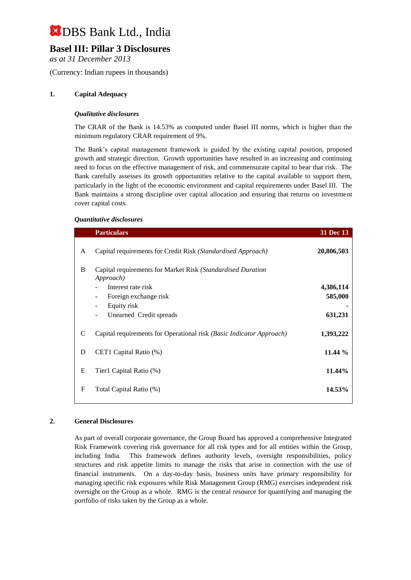# **Basel III: Pillar 3 Disclosures**

*as at 31 December 2013*

(Currency: Indian rupees in thousands)

## **1. Capital Adequacy**

### *Qualitative disclosures*

The CRAR of the Bank is 14.53% as computed under Basel III norms, which is higher than the minimum regulatory CRAR requirement of 9%.

The Bank's capital management framework is guided by the existing capital position, proposed growth and strategic direction. Growth opportunities have resulted in an increasing and continuing need to focus on the effective management of risk, and commensurate capital to bear that risk. The Bank carefully assesses its growth opportunities relative to the capital available to support them, particularly in the light of the economic environment and capital requirements under Basel III. The Bank maintains a strong discipline over capital allocation and ensuring that returns on investment cover capital costs.

### *Quantitative disclosures*

|   | <b>Particulars</b>                                                       | 31 Dec 13  |
|---|--------------------------------------------------------------------------|------------|
| A | Capital requirements for Credit Risk (Standardised Approach)             | 20,806,503 |
| B | Capital requirements for Market Risk (Standardised Duration<br>Approach) |            |
|   | Interest rate risk                                                       | 4,386,114  |
|   | Foreign exchange risk<br>۰                                               | 585,000    |
|   | Equity risk<br>۰                                                         |            |
|   | Unearned Credit spreads<br>$\overline{\phantom{0}}$                      | 631,231    |
| C | Capital requirements for Operational risk (Basic Indicator Approach)     | 1,393,222  |
| D | CET1 Capital Ratio (%)                                                   | 11.44 %    |
|   |                                                                          |            |
| E | Tier1 Capital Ratio (%)                                                  | 11.44%     |
| F | Total Capital Ratio (%)                                                  | 14.53%     |

### **2. General Disclosures**

As part of overall corporate governance, the Group Board has approved a comprehensive Integrated Risk Framework covering risk governance for all risk types and for all entities within the Group, including India. This framework defines authority levels, oversight responsibilities, policy structures and risk appetite limits to manage the risks that arise in connection with the use of financial instruments. On a day-to-day basis, business units have primary responsibility for managing specific risk exposures while Risk Management Group (RMG) exercises independent risk oversight on the Group as a whole. RMG is the central resource for quantifying and managing the portfolio of risks taken by the Group as a whole.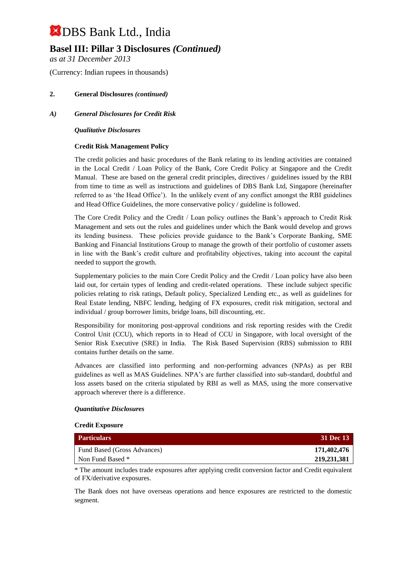# **Basel III: Pillar 3 Disclosures** *(Continued)*

*as at 31 December 2013*

(Currency: Indian rupees in thousands)

## **2. General Disclosures** *(continued)*

## *A) General Disclosures for Credit Risk*

### *Qualitative Disclosures*

### **Credit Risk Management Policy**

The credit policies and basic procedures of the Bank relating to its lending activities are contained in the Local Credit / Loan Policy of the Bank, Core Credit Policy at Singapore and the Credit Manual. These are based on the general credit principles, directives / guidelines issued by the RBI from time to time as well as instructions and guidelines of DBS Bank Ltd, Singapore (hereinafter referred to as 'the Head Office'). In the unlikely event of any conflict amongst the RBI guidelines and Head Office Guidelines, the more conservative policy / guideline is followed.

The Core Credit Policy and the Credit / Loan policy outlines the Bank's approach to Credit Risk Management and sets out the rules and guidelines under which the Bank would develop and grows its lending business. These policies provide guidance to the Bank's Corporate Banking, SME Banking and Financial Institutions Group to manage the growth of their portfolio of customer assets in line with the Bank's credit culture and profitability objectives, taking into account the capital needed to support the growth.

Supplementary policies to the main Core Credit Policy and the Credit / Loan policy have also been laid out, for certain types of lending and credit-related operations. These include subject specific policies relating to risk ratings, Default policy, Specialized Lending etc., as well as guidelines for Real Estate lending, NBFC lending, hedging of FX exposures, credit risk mitigation, sectoral and individual / group borrower limits, bridge loans, bill discounting, etc.

Responsibility for monitoring post-approval conditions and risk reporting resides with the Credit Control Unit (CCU), which reports in to Head of CCU in Singapore, with local oversight of the Senior Risk Executive (SRE) in India. The Risk Based Supervision (RBS) submission to RBI contains further details on the same.

Advances are classified into performing and non-performing advances (NPAs) as per RBI guidelines as well as MAS Guidelines. NPA's are further classified into sub-standard, doubtful and loss assets based on the criteria stipulated by RBI as well as MAS, using the more conservative approach wherever there is a difference.

#### *Quantitative Disclosures*

#### **Credit Exposure**

| <b>Particulars</b>          | <b>31 Dec 13</b> |
|-----------------------------|------------------|
| Fund Based (Gross Advances) | 171,402,476      |
| Non Fund Based *            | 219, 231, 381    |

\* The amount includes trade exposures after applying credit conversion factor and Credit equivalent of FX/derivative exposures.

The Bank does not have overseas operations and hence exposures are restricted to the domestic segment.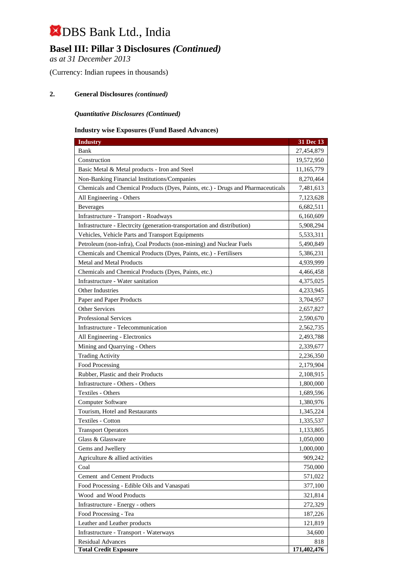# **Basel III: Pillar 3 Disclosures** *(Continued)*

*as at 31 December 2013*

(Currency: Indian rupees in thousands)

### **2. General Disclosures** *(continued)*

### *Quantitative Disclosures (Continued)*

### **Industry wise Exposures (Fund Based Advances)**

| <b>Industry</b>                                                                  | 31 Dec 13   |
|----------------------------------------------------------------------------------|-------------|
| Bank                                                                             | 27,454,879  |
| Construction                                                                     | 19,572,950  |
| Basic Metal & Metal products - Iron and Steel                                    | 11,165,779  |
| Non-Banking Financial Institutions/Companies                                     | 8,270,464   |
| Chemicals and Chemical Products (Dyes, Paints, etc.) - Drugs and Pharmaceuticals | 7,481,613   |
| All Engineering - Others                                                         | 7,123,628   |
| <b>Beverages</b>                                                                 | 6,682,511   |
| Infrastructure - Transport - Roadways                                            | 6,160,609   |
| Infrastructure - Electrcity (generation-transportation and distribution)         | 5,908,294   |
| Vehicles, Vehicle Parts and Transport Equipments                                 | 5,533,311   |
| Petroleum (non-infra), Coal Products (non-mining) and Nuclear Fuels              | 5,490,849   |
| Chemicals and Chemical Products (Dyes, Paints, etc.) - Fertilisers               | 5,386,231   |
| <b>Metal and Metal Products</b>                                                  | 4,939,999   |
| Chemicals and Chemical Products (Dyes, Paints, etc.)                             | 4,466,458   |
| Infrastructure - Water sanitation                                                | 4,375,025   |
| Other Industries                                                                 | 4,233,945   |
| Paper and Paper Products                                                         | 3,704,957   |
| Other Services                                                                   | 2,657,827   |
| Professional Services                                                            | 2,590,670   |
| Infrastructure - Telecommunication                                               | 2,562,735   |
| All Engineering - Electronics                                                    | 2,493,788   |
| Mining and Quarrying - Others                                                    | 2,339,677   |
| <b>Trading Activity</b>                                                          | 2,236,350   |
| <b>Food Processing</b>                                                           | 2,179,904   |
| Rubber, Plastic and their Products                                               | 2,108,915   |
| Infrastructure - Others - Others                                                 | 1,800,000   |
| Textiles - Others                                                                | 1,689,596   |
| Computer Software                                                                | 1,380,976   |
| Tourism, Hotel and Restaurants                                                   | 1,345,224   |
| Textiles - Cotton                                                                | 1,335,537   |
| <b>Transport Operators</b>                                                       | 1,133,805   |
| Glass & Glassware                                                                | 1,050,000   |
| Gems and Jwellery                                                                | 1,000,000   |
| Agriculture & allied activities                                                  | 909,242     |
| Coal                                                                             | 750,000     |
| Cement and Cement Products                                                       | 571,022     |
| Food Processing - Edible Oils and Vanaspati                                      | 377,100     |
| Wood and Wood Products                                                           | 321,814     |
| Infrastructure - Energy - others                                                 | 272,329     |
| Food Processing - Tea                                                            | 187,226     |
| Leather and Leather products                                                     | 121,819     |
| Infrastructure - Transport - Waterways                                           | 34,600      |
| <b>Residual Advances</b>                                                         | 818         |
| <b>Total Credit Exposure</b>                                                     | 171,402,476 |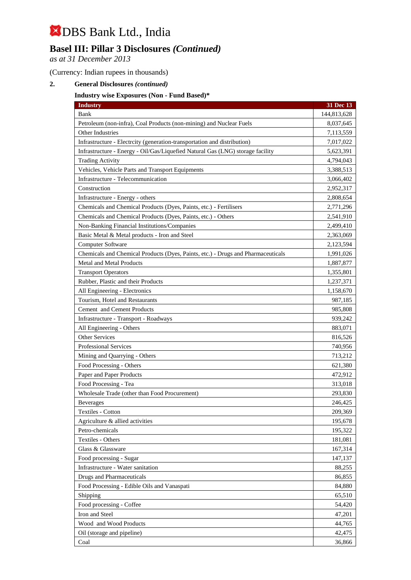# **Basel III: Pillar 3 Disclosures** *(Continued)*

*as at 31 December 2013*

(Currency: Indian rupees in thousands)

## **2. General Disclosures** *(continued)*

## **Industry wise Exposures (Non - Fund Based)\***

| <b>Industry</b>                                                                  | 31 Dec 13   |
|----------------------------------------------------------------------------------|-------------|
| Bank                                                                             | 144,813,628 |
| Petroleum (non-infra), Coal Products (non-mining) and Nuclear Fuels              | 8,037,645   |
| Other Industries                                                                 | 7,113,559   |
| Infrastructure - Electrcity (generation-transportation and distribution)         | 7,017,022   |
| Infrastructure - Energy - Oil/Gas/Liquefied Natural Gas (LNG) storage facility   | 5,623,391   |
| <b>Trading Activity</b>                                                          | 4,794,043   |
| Vehicles, Vehicle Parts and Transport Equipments                                 | 3,388,513   |
| Infrastructure - Telecommunication                                               | 3,066,402   |
| Construction                                                                     | 2,952,317   |
| Infrastructure - Energy - others                                                 | 2,808,654   |
| Chemicals and Chemical Products (Dyes, Paints, etc.) - Fertilisers               | 2,771,296   |
| Chemicals and Chemical Products (Dyes, Paints, etc.) - Others                    | 2,541,910   |
| Non-Banking Financial Institutions/Companies                                     | 2,499,410   |
| Basic Metal & Metal products - Iron and Steel                                    | 2,363,069   |
| Computer Software                                                                | 2,123,594   |
| Chemicals and Chemical Products (Dyes, Paints, etc.) - Drugs and Pharmaceuticals | 1,991,026   |
| Metal and Metal Products                                                         | 1,887,877   |
| <b>Transport Operators</b>                                                       | 1,355,801   |
| Rubber, Plastic and their Products                                               | 1,237,371   |
| All Engineering - Electronics                                                    | 1,158,670   |
| Tourism, Hotel and Restaurants                                                   | 987,185     |
| Cement and Cement Products                                                       | 985,808     |
| Infrastructure - Transport - Roadways                                            | 939,242     |
| All Engineering - Others                                                         | 883,071     |
| Other Services                                                                   | 816,526     |
| <b>Professional Services</b>                                                     | 740,956     |
| Mining and Quarrying - Others                                                    | 713,212     |
| Food Processing - Others                                                         | 621,380     |
| Paper and Paper Products                                                         | 472,912     |
| Food Processing - Tea                                                            | 313,018     |
| Wholesale Trade (other than Food Procurement)                                    | 293,830     |
| <b>Beverages</b>                                                                 | 246,425     |
| Textiles - Cotton                                                                | 209,369     |
| Agriculture & allied activities                                                  | 195,678     |
| Petro-chemicals                                                                  | 195,322     |
| Textiles - Others                                                                | 181,081     |
| Glass & Glassware                                                                | 167,314     |
| Food processing - Sugar                                                          | 147,137     |
| Infrastructure - Water sanitation                                                | 88,255      |
| <b>Drugs and Pharmaceuticals</b>                                                 | 86,855      |
| Food Processing - Edible Oils and Vanaspati                                      | 84,880      |
| Shipping                                                                         | 65,510      |
| Food processing - Coffee                                                         | 54,420      |
| Iron and Steel                                                                   | 47,201      |
| Wood and Wood Products                                                           | 44,765      |
| Oil (storage and pipeline)                                                       | 42,475      |
| Coal                                                                             | 36,866      |
|                                                                                  |             |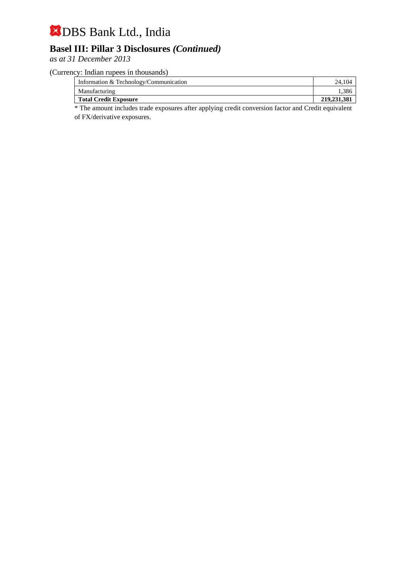# **Basel III: Pillar 3 Disclosures** *(Continued)*

*as at 31 December 2013*

(Currency: Indian rupees in thousands)

| Information & Technology/Communication | 24.104        |
|----------------------------------------|---------------|
| Manufacturing                          | .386          |
| <b>Total Credit Exposure</b>           | 219, 231, 381 |
| .<br>$\sim$<br>____<br>$\sim$ $\sim$   |               |

\* The amount includes trade exposures after applying credit conversion factor and Credit equivalent of FX/derivative exposures.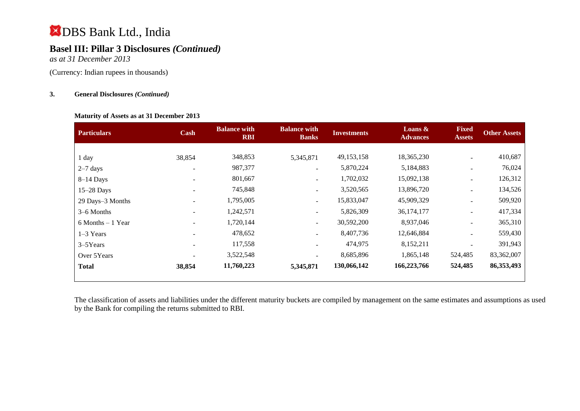# **Basel III: Pillar 3 Disclosures** *(Continued)*

*as at 31 December 2013*

(Currency: Indian rupees in thousands)

## **3. General Disclosures** *(Continued)*

#### **Maturity of Assets as at 31 December 2013**

| <b>Particulars</b>   | Cash   | <b>Balance with</b><br><b>RBI</b> | <b>Balance with</b><br><b>Banks</b> | <b>Investments</b> | Loans $\&$<br><b>Advances</b> | <b>Fixed</b><br><b>Assets</b> | <b>Other Assets</b> |
|----------------------|--------|-----------------------------------|-------------------------------------|--------------------|-------------------------------|-------------------------------|---------------------|
|                      |        |                                   |                                     |                    |                               |                               |                     |
| 1 day                | 38,854 | 348,853                           | 5,345,871                           | 49, 153, 158       | 18,365,230                    | $\blacksquare$                | 410,687             |
| $2-7$ days           |        | 987,377                           | $\overline{\phantom{a}}$            | 5,870,224          | 5,184,883                     | $\overline{\phantom{a}}$      | 76,024              |
| $8-14$ Days          |        | 801,667                           | $\overline{\phantom{a}}$            | 1,702,032          | 15,092,138                    |                               | 126,312             |
| 15-28 Days           |        | 745,848                           | $\overline{\phantom{a}}$            | 3,520,565          | 13,896,720                    | $\blacksquare$                | 134,526             |
| 29 Days-3 Months     |        | 1,795,005                         | $\overline{\phantom{a}}$            | 15,833,047         | 45,909,329                    | $\overline{\phantom{a}}$      | 509,920             |
| 3–6 Months           |        | 1,242,571                         |                                     | 5,826,309          | 36,174,177                    | $\overline{\phantom{a}}$      | 417,334             |
| $6$ Months $-1$ Year |        | 1,720,144                         | $\sim$                              | 30,592,200         | 8,937,046                     | $\overline{\phantom{a}}$      | 365,310             |
| $1-3$ Years          |        | 478,652                           | $\overline{\phantom{a}}$            | 8,407,736          | 12,646,884                    |                               | 559,430             |
| 3-5Years             |        | 117,558                           | $\overline{\phantom{a}}$            | 474,975            | 8,152,211                     |                               | 391,943             |
| Over 5Years          |        | 3,522,548                         | $\overline{\phantom{a}}$            | 8,685,896          | 1,865,148                     | 524,485                       | 83,362,007          |
| <b>Total</b>         | 38,854 | 11,760,223                        | 5,345,871                           | 130,066,142        | 166,223,766                   | 524,485                       | 86, 353, 493        |

The classification of assets and liabilities under the different maturity buckets are compiled by management on the same estimates and assumptions as used by the Bank for compiling the returns submitted to RBI.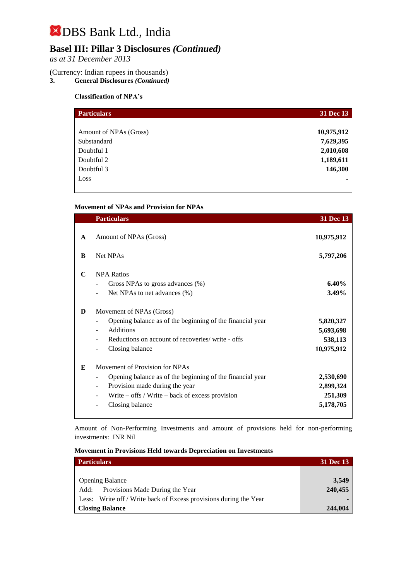# **Basel III: Pillar 3 Disclosures** *(Continued)*

*as at 31 December 2013*

# (Currency: Indian rupees in thousands)<br>3. General Disclosures (Continued)

**3. General Disclosures** *(Continued)*

## **Classification of NPA's**

| <b>Particulars</b>     | 31 Dec 13  |
|------------------------|------------|
|                        |            |
| Amount of NPAs (Gross) | 10,975,912 |
| Substandard            | 7,629,395  |
| Doubtful 1             | 2,010,608  |
| Doubtful 2             | 1,189,611  |
| Doubtful 3             | 146,300    |
| Loss                   |            |
|                        |            |

### **Movement of NPAs and Provision for NPAs**

|              | <b>Particulars</b>                                                                                                                                                                                           | 31 Dec 13                                       |
|--------------|--------------------------------------------------------------------------------------------------------------------------------------------------------------------------------------------------------------|-------------------------------------------------|
| $\mathbf{A}$ | Amount of NPAs (Gross)                                                                                                                                                                                       | 10,975,912                                      |
| B            | Net NPAs                                                                                                                                                                                                     | 5,797,206                                       |
| $\mathbf C$  | <b>NPA Ratios</b><br>Gross NPAs to gross advances (%)<br>۰<br>Net NPAs to net advances (%)                                                                                                                   | 6.40%<br>3.49%                                  |
| D            | Movement of NPAs (Gross)<br>Opening balance as of the beginning of the financial year<br>-<br><b>Additions</b><br>Reductions on account of recoveries/ write - offs<br>Closing balance                       | 5,820,327<br>5,693,698<br>538,113<br>10,975,912 |
| E            | Movement of Provision for NPAs<br>Opening balance as of the beginning of the financial year<br>Provision made during the year<br>۰<br>Write $-$ offs / Write $-$ back of excess provision<br>Closing balance | 2,530,690<br>2,899,324<br>251,309<br>5,178,705  |

Amount of Non-Performing Investments and amount of provisions held for non-performing investments:INR Nil

|  |  | <b>Movement in Provisions Held towards Depreciation on Investments</b> |  |
|--|--|------------------------------------------------------------------------|--|
|--|--|------------------------------------------------------------------------|--|

| <b>Particulars</b>                                                | <b>31 Dec 13</b> |
|-------------------------------------------------------------------|------------------|
|                                                                   |                  |
| <b>Opening Balance</b>                                            | 3,549            |
| Provisions Made During the Year<br>Add:                           | 240,455          |
| Less: Write off / Write back of Excess provisions during the Year |                  |
| <b>Closing Balance</b>                                            | 244,004          |